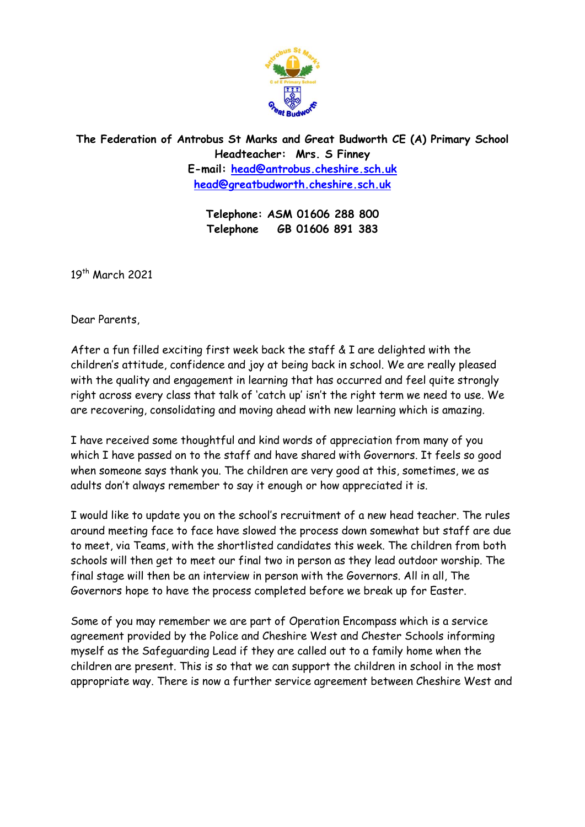

**The Federation of Antrobus St Marks and Great Budworth CE (A) Primary School Headteacher: Mrs. S Finney E-mail: [head@antrobus.cheshire.sch.uk](mailto:head@antrobus-st-marks.cheshire.sch.uk) [head@greatbudworth.cheshire.sch.uk](mailto:head@greatbudworth.cheshire.sch.uk)**

> **Telephone: ASM 01606 288 800 Telephone GB 01606 891 383**

19th March 2021

Dear Parents,

After a fun filled exciting first week back the staff & I are delighted with the children's attitude, confidence and joy at being back in school. We are really pleased with the quality and engagement in learning that has occurred and feel quite strongly right across every class that talk of 'catch up' isn't the right term we need to use. We are recovering, consolidating and moving ahead with new learning which is amazing.

I have received some thoughtful and kind words of appreciation from many of you which I have passed on to the staff and have shared with Governors. It feels so good when someone says thank you. The children are very good at this, sometimes, we as adults don't always remember to say it enough or how appreciated it is.

I would like to update you on the school's recruitment of a new head teacher. The rules around meeting face to face have slowed the process down somewhat but staff are due to meet, via Teams, with the shortlisted candidates this week. The children from both schools will then get to meet our final two in person as they lead outdoor worship. The final stage will then be an interview in person with the Governors. All in all, The Governors hope to have the process completed before we break up for Easter.

Some of you may remember we are part of Operation Encompass which is a service agreement provided by the Police and Cheshire West and Chester Schools informing myself as the Safeguarding Lead if they are called out to a family home when the children are present. This is so that we can support the children in school in the most appropriate way. There is now a further service agreement between Cheshire West and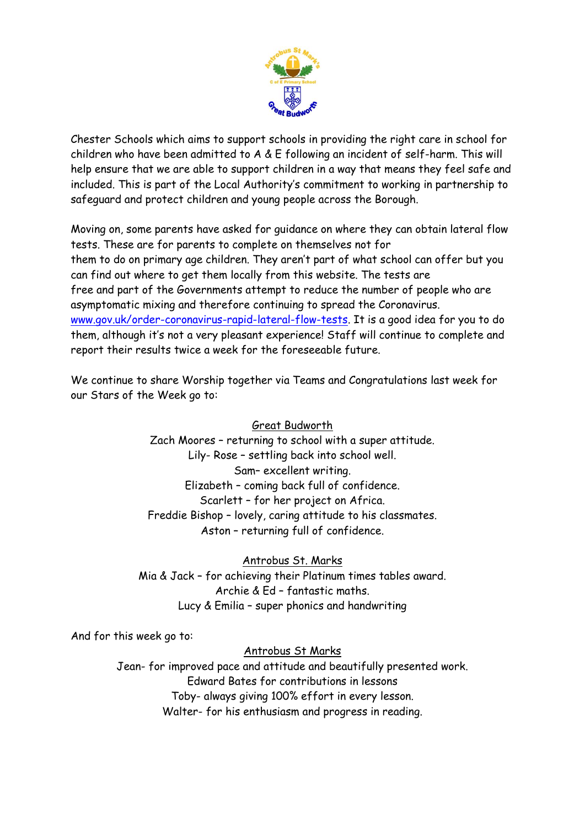

Chester Schools which aims to support schools in providing the right care in school for children who have been admitted to A & E following an incident of self-harm. This will help ensure that we are able to support children in a way that means they feel safe and included. This is part of the Local Authority's commitment to working in partnership to safeguard and protect children and young people across the Borough.

Moving on, some parents have asked for guidance on where they can obtain lateral flow tests. These are for parents to complete on themselves not for them to do on primary age children. They aren't part of what school can offer but you can find out where to get them locally from this website. The tests are free and part of the Governments attempt to reduce the number of people who are asymptomatic mixing and therefore continuing to spread the Coronavirus. [www.gov.uk/order-coronavirus-rapid-lateral-flow-tests.](http://www.gov.uk/order-coronavirus-rapid-lateral-flow-tests) It is a good idea for you to do them, although it's not a very pleasant experience! Staff will continue to complete and report their results twice a week for the foreseeable future.

We continue to share Worship together via Teams and Congratulations last week for our Stars of the Week go to:

## Great Budworth

Zach Moores – returning to school with a super attitude. Lily- Rose – settling back into school well. Sam– excellent writing. Elizabeth – coming back full of confidence. Scarlett – for her project on Africa. Freddie Bishop – lovely, caring attitude to his classmates. Aston – returning full of confidence.

## Antrobus St. Marks

Mia & Jack – for achieving their Platinum times tables award. Archie & Ed – fantastic maths. Lucy & Emilia – super phonics and handwriting

And for this week go to:

## Antrobus St Marks

Jean- for improved pace and attitude and beautifully presented work. Edward Bates for contributions in lessons Toby- always giving 100% effort in every lesson. Walter- for his enthusiasm and progress in reading.